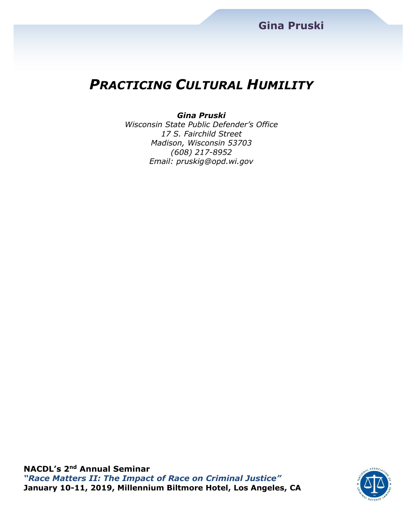# *PRACTICING CULTURAL HUMILITY*

#### *Gina Pruski*

*Wisconsin State Public Defender's Office 17 S. Fairchild Street Madison, Wisconsin 53703 (608) 217-8952 Email: pruskig@opd.wi.gov*

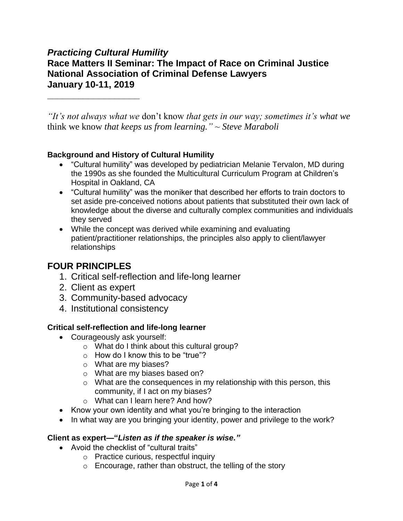### *Practicing Cultural Humility*

**\_\_\_\_\_\_\_\_\_\_\_\_\_\_\_\_\_\_**

## **Race Matters II Seminar: The Impact of Race on Criminal Justice National Association of Criminal Defense Lawyers January 10-11, 2019**

*"It's not always what we* don't know *that gets in our way; sometimes it's what we*  think we know *that keeps us from learning." ~ Steve Maraboli*

#### **Background and History of Cultural Humility**

- "Cultural humility" was developed by pediatrician Melanie Tervalon, MD during the 1990s as she founded the Multicultural Curriculum Program at Children's Hospital in Oakland, CA
- "Cultural humility" was the moniker that described her efforts to train doctors to set aside pre-conceived notions about patients that substituted their own lack of knowledge about the diverse and culturally complex communities and individuals they served
- While the concept was derived while examining and evaluating patient/practitioner relationships, the principles also apply to client/lawyer relationships

### **FOUR PRINCIPLES**

- 1. Critical self-reflection and life-long learner
- 2. Client as expert
- 3. Community-based advocacy
- 4. Institutional consistency

#### **Critical self-reflection and life-long learner**

- Courageously ask yourself:
	- o What do I think about this cultural group?
	- $\circ$  How do I know this to be "true"?
	- o What are my biases?
	- o What are my biases based on?
	- o What are the consequences in my relationship with this person, this community, if I act on my biases?
	- o What can I learn here? And how?
- Know your own identity and what you're bringing to the interaction
- In what way are you bringing your identity, power and privilege to the work?

#### **Client as expert—"***Listen as if the speaker is wise."*

- Avoid the checklist of "cultural traits"
	- o Practice curious, respectful inquiry
	- o Encourage, rather than obstruct, the telling of the story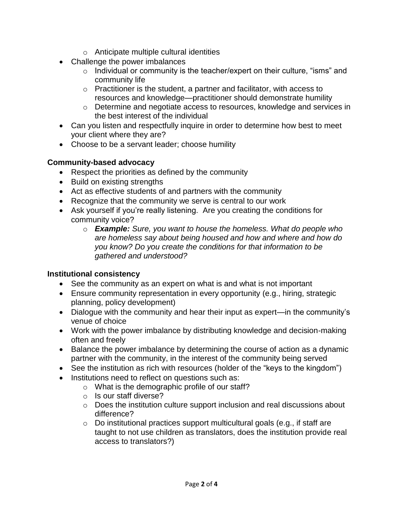- o Anticipate multiple cultural identities
- Challenge the power imbalances
	- o Individual or community is the teacher/expert on their culture, "isms" and community life
	- o Practitioner is the student, a partner and facilitator, with access to resources and knowledge—practitioner should demonstrate humility
	- o Determine and negotiate access to resources, knowledge and services in the best interest of the individual
- Can you listen and respectfully inquire in order to determine how best to meet your client where they are?
- Choose to be a servant leader; choose humility

#### **Community-based advocacy**

- Respect the priorities as defined by the community
- Build on existing strengths
- Act as effective students of and partners with the community
- Recognize that the community we serve is central to our work
- Ask yourself if you're really listening. Are you creating the conditions for community voice?
	- o *Example: Sure, you want to house the homeless. What do people who are homeless say about being housed and how and where and how do you know? Do you create the conditions for that information to be gathered and understood?*

#### **Institutional consistency**

- See the community as an expert on what is and what is not important
- Ensure community representation in every opportunity (e.g., hiring, strategic planning, policy development)
- Dialogue with the community and hear their input as expert—in the community's venue of choice
- Work with the power imbalance by distributing knowledge and decision-making often and freely
- Balance the power imbalance by determining the course of action as a dynamic partner with the community, in the interest of the community being served
- See the institution as rich with resources (holder of the "keys to the kingdom")
- Institutions need to reflect on questions such as:
	- o What is the demographic profile of our staff?
		- o Is our staff diverse?
		- o Does the institution culture support inclusion and real discussions about difference?
		- o Do institutional practices support multicultural goals (e.g., if staff are taught to not use children as translators, does the institution provide real access to translators?)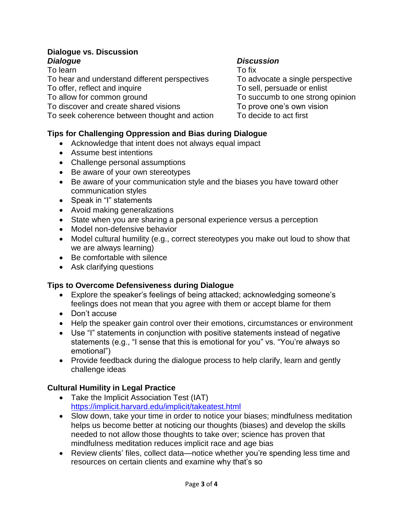#### **Dialogue vs. Discussion** *Dialogue Discussion*

To learn To fix

To hear and understand different perspectives To advocate a single perspective

To discover and create shared visions To prove one's own vision

To seek coherence between thought and action To decide to act first

#### **Tips for Challenging Oppression and Bias during Dialogue**

- Acknowledge that intent does not always equal impact
- Assume best intentions
- Challenge personal assumptions
- Be aware of your own stereotypes
- Be aware of your communication style and the biases you have toward other communication styles
- Speak in "I" statements
- Avoid making generalizations
- State when you are sharing a personal experience versus a perception
- Model non-defensive behavior
- Model cultural humility (e.g., correct stereotypes you make out loud to show that we are always learning)
- Be comfortable with silence
- Ask clarifying questions

#### **Tips to Overcome Defensiveness during Dialogue**

- Explore the speaker's feelings of being attacked; acknowledging someone's feelings does not mean that you agree with them or accept blame for them
- Don't accuse
- Help the speaker gain control over their emotions, circumstances or environment
- Use "I" statements in conjunction with positive statements instead of negative statements (e.g., "I sense that this is emotional for you" vs. "You're always so emotional")
- Provide feedback during the dialogue process to help clarify, learn and gently challenge ideas

#### **Cultural Humility in Legal Practice**

- Take the Implicit Association Test (IAT) <https://implicit.harvard.edu/implicit/takeatest.html>
- Slow down, take your time in order to notice your biases; mindfulness meditation helps us become better at noticing our thoughts (biases) and develop the skills needed to not allow those thoughts to take over; science has proven that mindfulness meditation reduces implicit race and age bias
- Review clients' files, collect data—notice whether you're spending less time and resources on certain clients and examine why that's so

To offer, reflect and inquire To sell, persuade or enlist To allow for common ground To succumb to one strong opinion